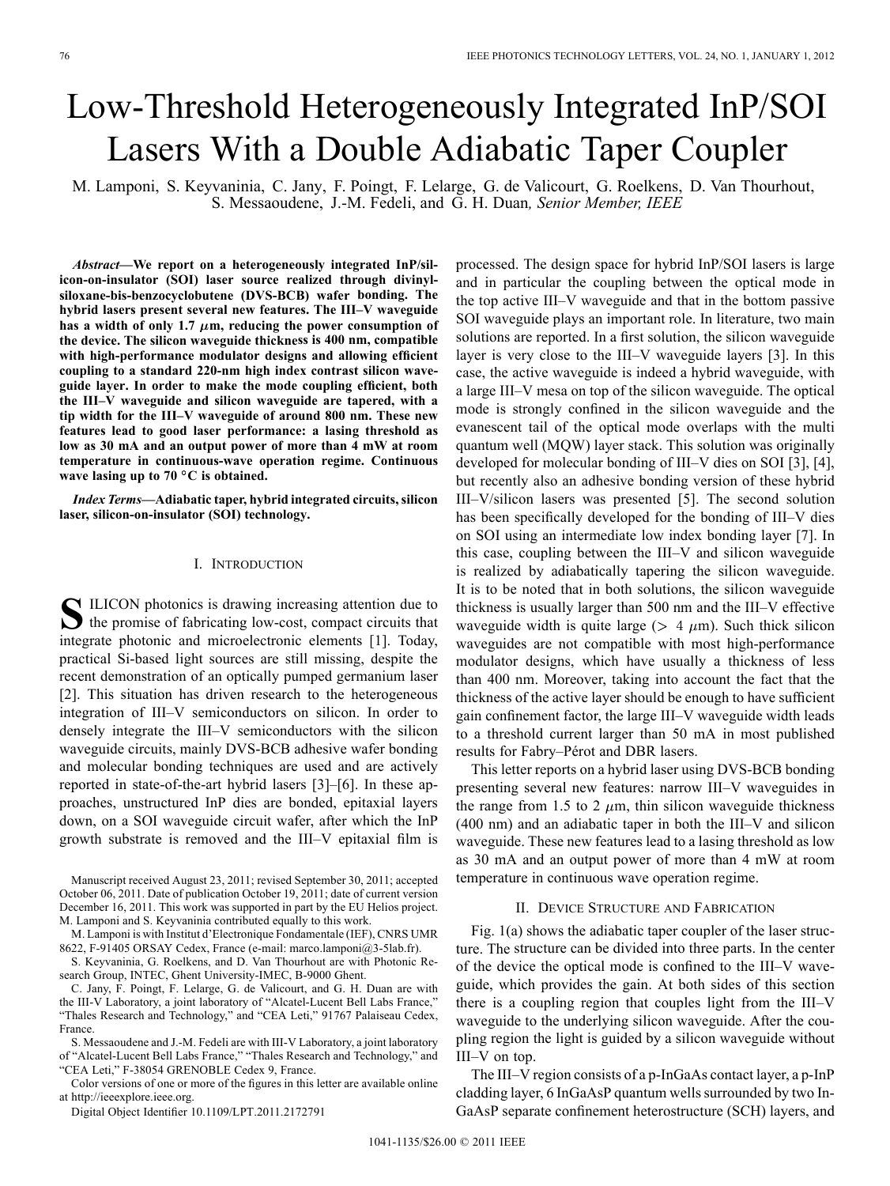# Low-Threshold Heterogeneously Integrated InP/SOI Lasers With a Double Adiabatic Taper Coupler

M. Lamponi, S. Keyvaninia, C. Jany, F. Poingt, F. Lelarge, G. de Valicourt, G. Roelkens, D. Van Thourhout, S. Messaoudene, J.-M. Fedeli, and G. H. Duan*, Senior Member, IEEE*

*Abstract—***We report on a heterogeneously integrated InP/silicon-on-insulator (SOI) laser source realized through divinylsiloxane-bis-benzocyclobutene (DVS-BCB) wafer bonding. The hybrid lasers present several new features. The III–V waveguide** has a width of only 1.7  $\mu$ m, reducing the power consumption of **the device. The silicon waveguide thickness is 400 nm, compatible with high-performance modulator designs and allowing efficient coupling to a standard 220-nm high index contrast silicon waveguide layer. In order to make the mode coupling efficient, both the III–V waveguide and silicon waveguide are tapered, with a tip width for the III–V waveguide of around 800 nm. These new features lead to good laser performance: a lasing threshold as low as 30 mA and an output power of more than 4 mW at room temperature in continuous-wave operation regime. Continuous wave lasing up to 70 C is obtained.**

*Index Terms—***Adiabatic taper, hybrid integrated circuits, silicon laser, silicon-on-insulator (SOI) technology.**

#### I. INTRODUCTION

**S**ILICON photonics is drawing increasing attention due to  $\sum$  the promise of fabricating low-cost, compact circuits that integrate photonic and microelectronic elements [1]. Today, practical Si-based light sources are still missing, despite the recent demonstration of an optically pumped germanium laser [2]. This situation has driven research to the heterogeneous integration of III–V semiconductors on silicon. In order to densely integrate the III–V semiconductors with the silicon waveguide circuits, mainly DVS-BCB adhesive wafer bonding and molecular bonding techniques are used and are actively reported in state-of-the-art hybrid lasers [3]–[6]. In these approaches, unstructured InP dies are bonded, epitaxial layers down, on a SOI waveguide circuit wafer, after which the InP growth substrate is removed and the III–V epitaxial film is

Manuscript received August 23, 2011; revised September 30, 2011; accepted October 06, 2011. Date of publication October 19, 2011; date of current version December 16, 2011. This work was supported in part by the EU Helios project. M. Lamponi and S. Keyvaninia contributed equally to this work.

M. Lamponi is with Institut d'Electronique Fondamentale (IEF), CNRS UMR 8622, F-91405 ORSAY Cedex, France (e-mail: marco.lamponi@3-5lab.fr).

S. Keyvaninia, G. Roelkens, and D. Van Thourhout are with Photonic Research Group, INTEC, Ghent University-IMEC, B-9000 Ghent.

C. Jany, F. Poingt, F. Lelarge, G. de Valicourt, and G. H. Duan are with the III-V Laboratory, a joint laboratory of "Alcatel-Lucent Bell Labs France," "Thales Research and Technology," and "CEA Leti," 91767 Palaiseau Cedex, France.

S. Messaoudene and J.-M. Fedeli are with III-V Laboratory, a joint laboratory of "Alcatel-Lucent Bell Labs France," "Thales Research and Technology," and "CEA Leti," F-38054 GRENOBLE Cedex 9, France.

Color versions of one or more of the figures in this letter are available online at http://ieeexplore.ieee.org.

Digital Object Identifier 10.1109/LPT.2011.2172791

processed. The design space for hybrid InP/SOI lasers is large and in particular the coupling between the optical mode in the top active III–V waveguide and that in the bottom passive SOI waveguide plays an important role. In literature, two main solutions are reported. In a first solution, the silicon waveguide layer is very close to the III–V waveguide layers [3]. In this case, the active waveguide is indeed a hybrid waveguide, with a large III–V mesa on top of the silicon waveguide. The optical mode is strongly confined in the silicon waveguide and the evanescent tail of the optical mode overlaps with the multi quantum well (MQW) layer stack. This solution was originally developed for molecular bonding of III–V dies on SOI [3], [4], but recently also an adhesive bonding version of these hybrid III–V/silicon lasers was presented [5]. The second solution has been specifically developed for the bonding of III–V dies on SOI using an intermediate low index bonding layer [7]. In this case, coupling between the III–V and silicon waveguide is realized by adiabatically tapering the silicon waveguide. It is to be noted that in both solutions, the silicon waveguide thickness is usually larger than 500 nm and the III–V effective waveguide width is quite large ( $> 4 \mu m$ ). Such thick silicon waveguides are not compatible with most high-performance modulator designs, which have usually a thickness of less than 400 nm. Moreover, taking into account the fact that the thickness of the active layer should be enough to have sufficient gain confinement factor, the large III–V waveguide width leads to a threshold current larger than 50 mA in most published results for Fabry–Pérot and DBR lasers.

This letter reports on a hybrid laser using DVS-BCB bonding presenting several new features: narrow III–V waveguides in the range from 1.5 to 2  $\mu$ m, thin silicon waveguide thickness (400 nm) and an adiabatic taper in both the III–V and silicon waveguide. These new features lead to a lasing threshold as low as 30 mA and an output power of more than 4 mW at room temperature in continuous wave operation regime.

#### II. DEVICE STRUCTURE AND FABRICATION

Fig. 1(a) shows the adiabatic taper coupler of the laser structure. The structure can be divided into three parts. In the center of the device the optical mode is confined to the III–V waveguide, which provides the gain. At both sides of this section there is a coupling region that couples light from the III–V waveguide to the underlying silicon waveguide. After the coupling region the light is guided by a silicon waveguide without III–V on top.

The III–V region consists of a p-InGaAs contact layer, a p-InP cladding layer, 6 InGaAsP quantum wells surrounded by two In-GaAsP separate confinement heterostructure (SCH) layers, and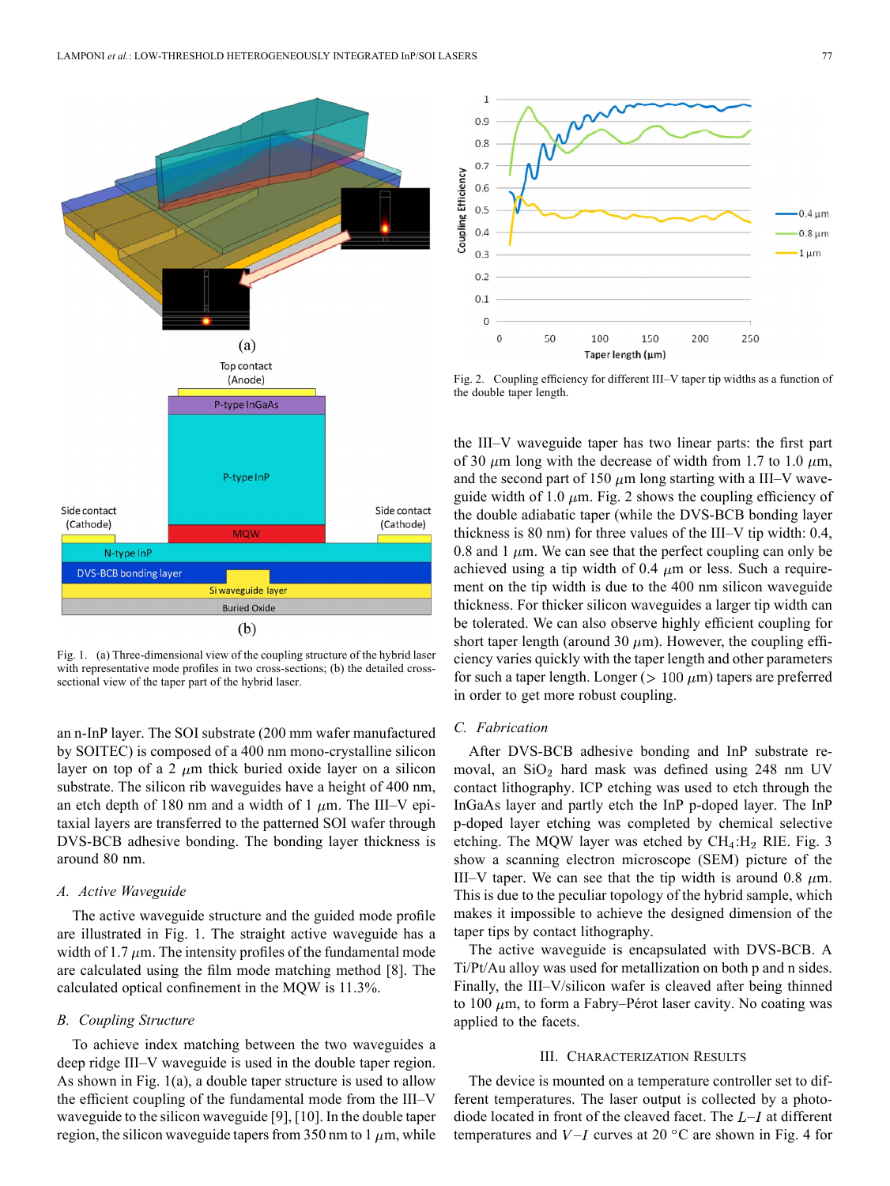

Fig. 1. (a) Three-dimensional view of the coupling structure of the hybrid laser with representative mode profiles in two cross-sections; (b) the detailed crosssectional view of the taper part of the hybrid laser.

an n-InP layer. The SOI substrate (200 mm wafer manufactured by SOITEC) is composed of a 400 nm mono-crystalline silicon layer on top of a 2  $\mu$ m thick buried oxide layer on a silicon substrate. The silicon rib waveguides have a height of 400 nm, an etch depth of 180 nm and a width of 1  $\mu$ m. The III–V epitaxial layers are transferred to the patterned SOI wafer through DVS-BCB adhesive bonding. The bonding layer thickness is around 80 nm.

## *A. Active Waveguide*

The active waveguide structure and the guided mode profile are illustrated in Fig. 1. The straight active waveguide has a width of 1.7  $\mu$ m. The intensity profiles of the fundamental mode are calculated using the film mode matching method [8]. The calculated optical confinement in the MQW is 11.3%.

#### *B. Coupling Structure*

To achieve index matching between the two waveguides a deep ridge III–V waveguide is used in the double taper region. As shown in Fig. 1(a), a double taper structure is used to allow the efficient coupling of the fundamental mode from the III–V waveguide to the silicon waveguide [9], [10]. In the double taper region, the silicon waveguide tapers from 350 nm to 1  $\mu$ m, while



Fig. 2. Coupling efficiency for different III–V taper tip widths as a function of the double taper length.

the III–V waveguide taper has two linear parts: the first part of 30  $\mu$ m long with the decrease of width from 1.7 to 1.0  $\mu$ m, and the second part of 150  $\mu$ m long starting with a III–V waveguide width of 1.0  $\mu$ m. Fig. 2 shows the coupling efficiency of the double adiabatic taper (while the DVS-BCB bonding layer thickness is 80 nm) for three values of the III–V tip width: 0.4, 0.8 and 1  $\mu$ m. We can see that the perfect coupling can only be achieved using a tip width of 0.4  $\mu$ m or less. Such a requirement on the tip width is due to the 400 nm silicon waveguide thickness. For thicker silicon waveguides a larger tip width can be tolerated. We can also observe highly efficient coupling for short taper length (around 30  $\mu$ m). However, the coupling efficiency varies quickly with the taper length and other parameters for such a taper length. Longer ( $> 100 \ \mu m$ ) tapers are preferred in order to get more robust coupling.

## *C. Fabrication*

After DVS-BCB adhesive bonding and InP substrate removal, an  $SiO<sub>2</sub>$  hard mask was defined using 248 nm UV contact lithography. ICP etching was used to etch through the InGaAs layer and partly etch the InP p-doped layer. The InP p-doped layer etching was completed by chemical selective etching. The MQW layer was etched by  $CH_4:H_2$  RIE. Fig. 3 show a scanning electron microscope (SEM) picture of the III–V taper. We can see that the tip width is around 0.8  $\mu$ m. This is due to the peculiar topology of the hybrid sample, which makes it impossible to achieve the designed dimension of the taper tips by contact lithography.

The active waveguide is encapsulated with DVS-BCB. A Ti/Pt/Au alloy was used for metallization on both p and n sides. Finally, the III–V/silicon wafer is cleaved after being thinned to 100  $\mu$ m, to form a Fabry–Pérot laser cavity. No coating was applied to the facets.

## III. CHARACTERIZATION RESULTS

The device is mounted on a temperature controller set to different temperatures. The laser output is collected by a photodiode located in front of the cleaved facet. The  $L-I$  at different temperatures and  $V-I$  curves at 20 °C are shown in Fig. 4 for